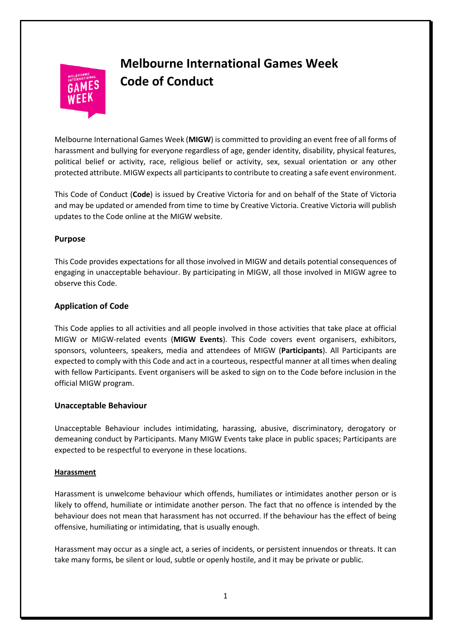# **Melbourne International Games Week Code of Conduct**

Melbourne International Games Week (**MIGW**) is committed to providing an event free of all forms of harassment and bullying for everyone regardless of age, gender identity, disability, physical features, political belief or activity, race, religious belief or activity, sex, sexual orientation or any other protected attribute. MIGW expects all participants to contribute to creating a safe event environment.

This Code of Conduct (**Code**) is issued by Creative Victoria for and on behalf of the State of Victoria and may be updated or amended from time to time by Creative Victoria. Creative Victoria will publish updates to the Code online at the MIGW website.

## **Purpose**

This Code provides expectations for all those involved in MIGW and details potential consequences of engaging in unacceptable behaviour. By participating in MIGW, all those involved in MIGW agree to observe this Code.

# **Application of Code**

This Code applies to all activities and all people involved in those activities that take place at official MIGW or MIGW-related events (**MIGW Events**). This Code covers event organisers, exhibitors, sponsors, volunteers, speakers, media and attendees of MIGW (**Participants**). All Participants are expected to comply with this Code and act in a courteous, respectful manner at all times when dealing with fellow Participants. Event organisers will be asked to sign on to the Code before inclusion in the official MIGW program.

## **Unacceptable Behaviour**

Unacceptable Behaviour includes intimidating, harassing, abusive, discriminatory, derogatory or demeaning conduct by Participants. Many MIGW Events take place in public spaces; Participants are expected to be respectful to everyone in these locations.

## **Harassment**

Harassment is unwelcome behaviour which offends, humiliates or intimidates another person or is likely to offend, humiliate or intimidate another person. The fact that no offence is intended by the behaviour does not mean that harassment has not occurred. If the behaviour has the effect of being offensive, humiliating or intimidating, that is usually enough.

Harassment may occur as a single act, a series of incidents, or persistent innuendos or threats. It can take many forms, be silent or loud, subtle or openly hostile, and it may be private or public.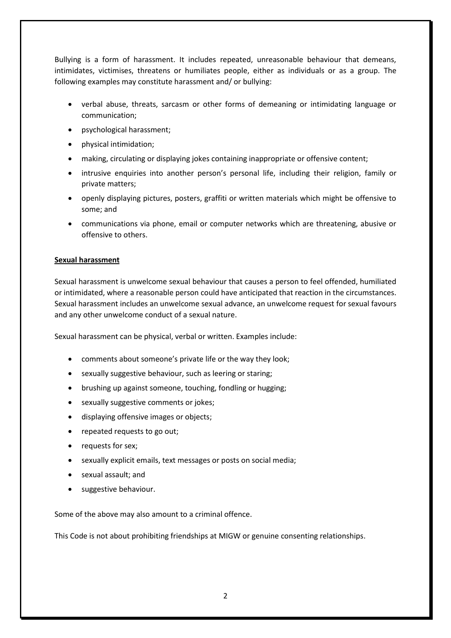Bullying is a form of harassment. It includes repeated, unreasonable behaviour that demeans, intimidates, victimises, threatens or humiliates people, either as individuals or as a group. The following examples may constitute harassment and/ or bullying:

- verbal abuse, threats, sarcasm or other forms of demeaning or intimidating language or communication;
- psychological harassment;
- physical intimidation;
- making, circulating or displaying jokes containing inappropriate or offensive content;
- intrusive enquiries into another person's personal life, including their religion, family or private matters;
- openly displaying pictures, posters, graffiti or written materials which might be offensive to some; and
- communications via phone, email or computer networks which are threatening, abusive or offensive to others.

## **Sexual harassment**

Sexual harassment is unwelcome sexual behaviour that causes a person to feel offended, humiliated or intimidated, where a reasonable person could have anticipated that reaction in the circumstances. Sexual harassment includes an unwelcome sexual advance, an unwelcome request for sexual favours and any other unwelcome conduct of a sexual nature.

Sexual harassment can be physical, verbal or written. Examples include:

- comments about someone's private life or the way they look;
- sexually suggestive behaviour, such as leering or staring;
- brushing up against someone, touching, fondling or hugging;
- sexually suggestive comments or jokes;
- displaying offensive images or objects;
- repeated requests to go out;
- requests for sex;
- sexually explicit emails, text messages or posts on social media;
- sexual assault; and
- suggestive behaviour.

Some of the above may also amount to a criminal offence.

This Code is not about prohibiting friendships at MIGW or genuine consenting relationships.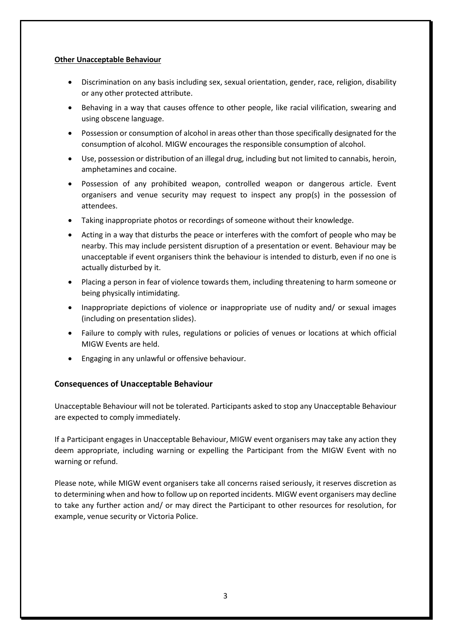#### **Other Unacceptable Behaviour**

- Discrimination on any basis including sex, sexual orientation, gender, race, religion, disability or any other protected attribute.
- Behaving in a way that causes offence to other people, like racial vilification, swearing and using obscene language.
- Possession or consumption of alcohol in areas other than those specifically designated for the consumption of alcohol. MIGW encourages the responsible consumption of alcohol.
- Use, possession or distribution of an illegal drug, including but not limited to cannabis, heroin, amphetamines and cocaine.
- Possession of any prohibited weapon, controlled weapon or dangerous article. Event organisers and venue security may request to inspect any prop(s) in the possession of attendees.
- Taking inappropriate photos or recordings of someone without their knowledge.
- Acting in a way that disturbs the peace or interferes with the comfort of people who may be nearby. This may include persistent disruption of a presentation or event. Behaviour may be unacceptable if event organisers think the behaviour is intended to disturb, even if no one is actually disturbed by it.
- Placing a person in fear of violence towards them, including threatening to harm someone or being physically intimidating.
- Inappropriate depictions of violence or inappropriate use of nudity and/ or sexual images (including on presentation slides).
- Failure to comply with rules, regulations or policies of venues or locations at which official MIGW Events are held.
- Engaging in any unlawful or offensive behaviour.

#### **Consequences of Unacceptable Behaviour**

Unacceptable Behaviour will not be tolerated. Participants asked to stop any Unacceptable Behaviour are expected to comply immediately.

If a Participant engages in Unacceptable Behaviour, MIGW event organisers may take any action they deem appropriate, including warning or expelling the Participant from the MIGW Event with no warning or refund.

Please note, while MIGW event organisers take all concerns raised seriously, it reserves discretion as to determining when and how to follow up on reported incidents. MIGW event organisers may decline to take any further action and/ or may direct the Participant to other resources for resolution, for example, venue security or Victoria Police.